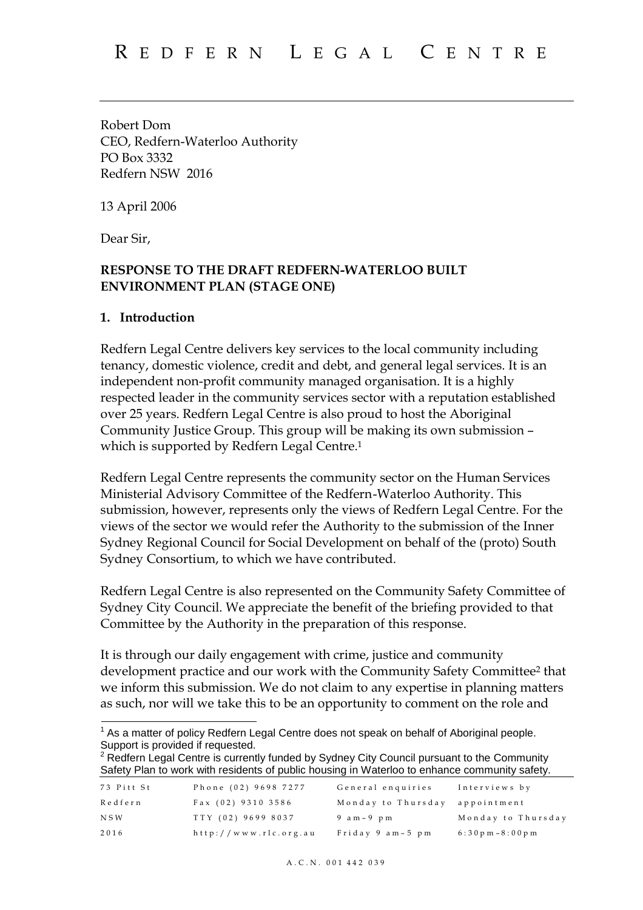Robert Dom CEO, Redfern-Waterloo Authority PO Box 3332 Redfern NSW 2016

13 April 2006

Dear Sir,

#### **RESPONSE TO THE DRAFT REDFERN-WATERLOO BUILT ENVIRONMENT PLAN (STAGE ONE)**

#### **1. Introduction**

Redfern Legal Centre delivers key services to the local community including tenancy, domestic violence, credit and debt, and general legal services. It is an independent non-profit community managed organisation. It is a highly respected leader in the community services sector with a reputation established over 25 years. Redfern Legal Centre is also proud to host the Aboriginal Community Justice Group. This group will be making its own submission – which is supported by Redfern Legal Centre.<sup>1</sup>

Redfern Legal Centre represents the community sector on the Human Services Ministerial Advisory Committee of the Redfern-Waterloo Authority. This submission, however, represents only the views of Redfern Legal Centre. For the views of the sector we would refer the Authority to the submission of the Inner Sydney Regional Council for Social Development on behalf of the (proto) South Sydney Consortium, to which we have contributed.

Redfern Legal Centre is also represented on the Community Safety Committee of Sydney City Council. We appreciate the benefit of the briefing provided to that Committee by the Authority in the preparation of this response.

It is through our daily engagement with crime, justice and community development practice and our work with the Community Safety Committee<sup>2</sup> that we inform this submission. We do not claim to any expertise in planning matters as such, nor will we take this to be an opportunity to comment on the role and

```
<sup>2</sup> Redfern Legal Centre is currently funded by Sydney City Council pursuant to the Community
Safety Plan to work with residents of public housing in Waterloo to enhance community safety.
```

| 73 Pitt St | Phone (02) 9698 7277  | General enguiries  | Interviews by       |
|------------|-----------------------|--------------------|---------------------|
| Redfern    | Fax (02) 9310 3586    | Monday to Thursday | appointment         |
| N S W      | TTY (02) 9699 8037    | 9 am – 9 pm        | Monday to Thursday  |
| 2016       | http://www.rlc.org.au | Friday 9 am-5 pm   | $6:30p m - 8:00p m$ |

 $1$  As a matter of policy Redfern Legal Centre does not speak on behalf of Aboriginal people. Support is provided if requested.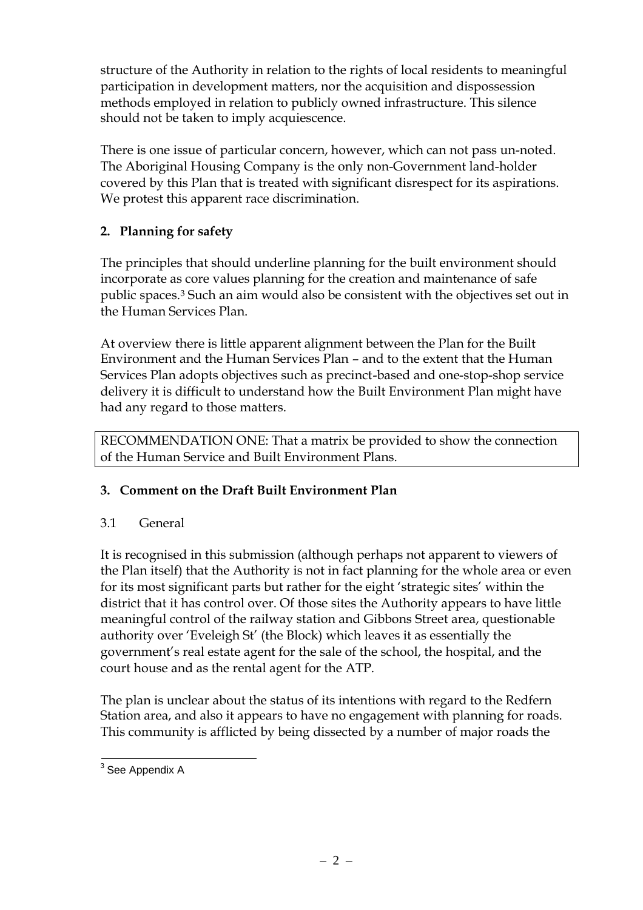structure of the Authority in relation to the rights of local residents to meaningful participation in development matters, nor the acquisition and dispossession methods employed in relation to publicly owned infrastructure. This silence should not be taken to imply acquiescence.

There is one issue of particular concern, however, which can not pass un-noted. The Aboriginal Housing Company is the only non-Government land-holder covered by this Plan that is treated with significant disrespect for its aspirations. We protest this apparent race discrimination.

# **2. Planning for safety**

The principles that should underline planning for the built environment should incorporate as core values planning for the creation and maintenance of safe public spaces.<sup>3</sup> Such an aim would also be consistent with the objectives set out in the Human Services Plan.

At overview there is little apparent alignment between the Plan for the Built Environment and the Human Services Plan – and to the extent that the Human Services Plan adopts objectives such as precinct-based and one-stop-shop service delivery it is difficult to understand how the Built Environment Plan might have had any regard to those matters.

RECOMMENDATION ONE: That a matrix be provided to show the connection of the Human Service and Built Environment Plans.

# **3. Comment on the Draft Built Environment Plan**

# 3.1 General

It is recognised in this submission (although perhaps not apparent to viewers of the Plan itself) that the Authority is not in fact planning for the whole area or even for its most significant parts but rather for the eight 'strategic sites' within the district that it has control over. Of those sites the Authority appears to have little meaningful control of the railway station and Gibbons Street area, questionable authority over 'Eveleigh St' (the Block) which leaves it as essentially the government's real estate agent for the sale of the school, the hospital, and the court house and as the rental agent for the ATP.

The plan is unclear about the status of its intentions with regard to the Redfern Station area, and also it appears to have no engagement with planning for roads. This community is afflicted by being dissected by a number of major roads the

<sup>&</sup>lt;sup>3</sup> See Appendix A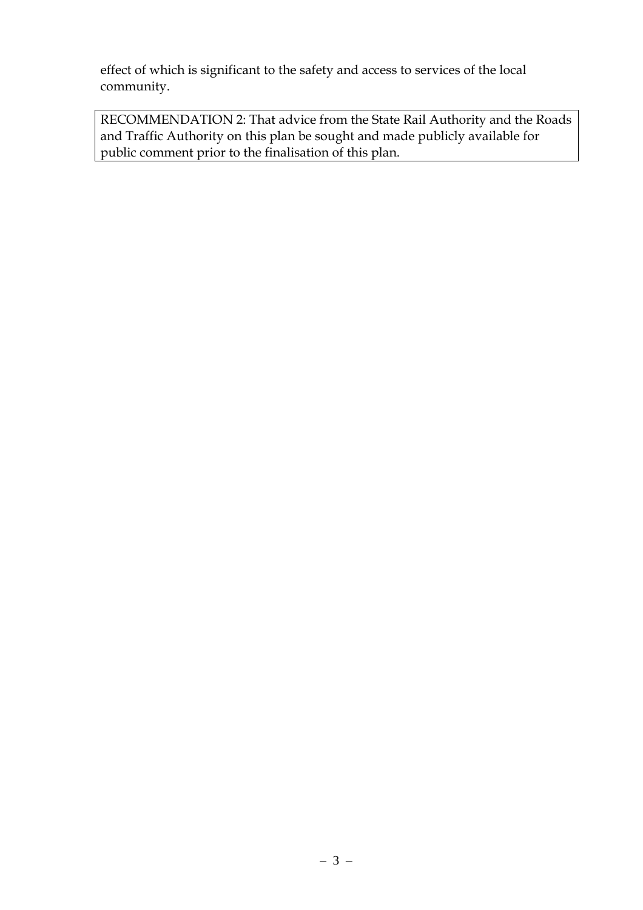effect of which is significant to the safety and access to services of the local community.

RECOMMENDATION 2: That advice from the State Rail Authority and the Roads and Traffic Authority on this plan be sought and made publicly available for public comment prior to the finalisation of this plan.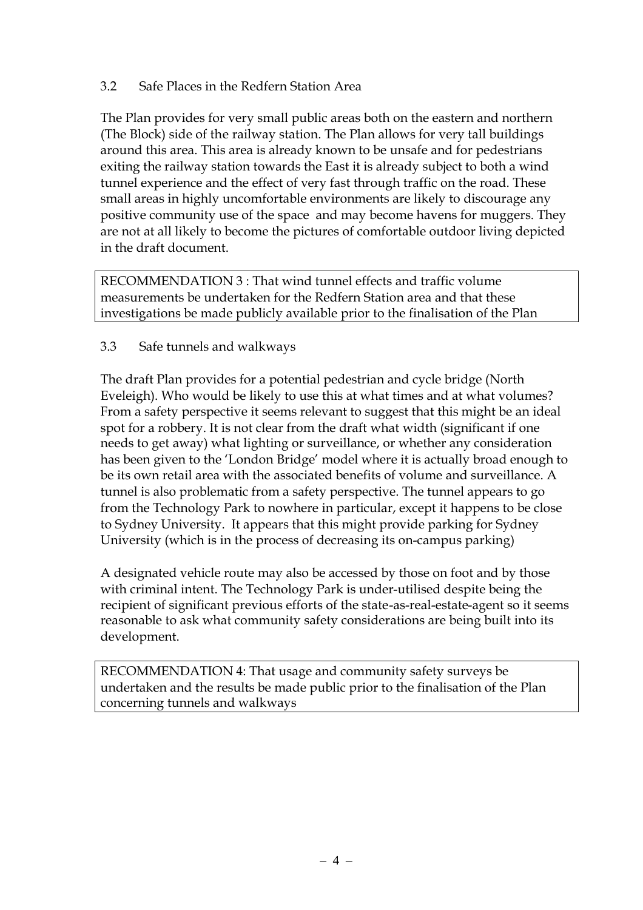### 3.2 Safe Places in the Redfern Station Area

The Plan provides for very small public areas both on the eastern and northern (The Block) side of the railway station. The Plan allows for very tall buildings around this area. This area is already known to be unsafe and for pedestrians exiting the railway station towards the East it is already subject to both a wind tunnel experience and the effect of very fast through traffic on the road. These small areas in highly uncomfortable environments are likely to discourage any positive community use of the space and may become havens for muggers. They are not at all likely to become the pictures of comfortable outdoor living depicted in the draft document.

RECOMMENDATION 3 : That wind tunnel effects and traffic volume measurements be undertaken for the Redfern Station area and that these investigations be made publicly available prior to the finalisation of the Plan

### 3.3 Safe tunnels and walkways

The draft Plan provides for a potential pedestrian and cycle bridge (North Eveleigh). Who would be likely to use this at what times and at what volumes? From a safety perspective it seems relevant to suggest that this might be an ideal spot for a robbery. It is not clear from the draft what width (significant if one needs to get away) what lighting or surveillance, or whether any consideration has been given to the 'London Bridge' model where it is actually broad enough to be its own retail area with the associated benefits of volume and surveillance. A tunnel is also problematic from a safety perspective. The tunnel appears to go from the Technology Park to nowhere in particular, except it happens to be close to Sydney University. It appears that this might provide parking for Sydney University (which is in the process of decreasing its on-campus parking)

A designated vehicle route may also be accessed by those on foot and by those with criminal intent. The Technology Park is under-utilised despite being the recipient of significant previous efforts of the state-as-real-estate-agent so it seems reasonable to ask what community safety considerations are being built into its development.

RECOMMENDATION 4: That usage and community safety surveys be undertaken and the results be made public prior to the finalisation of the Plan concerning tunnels and walkways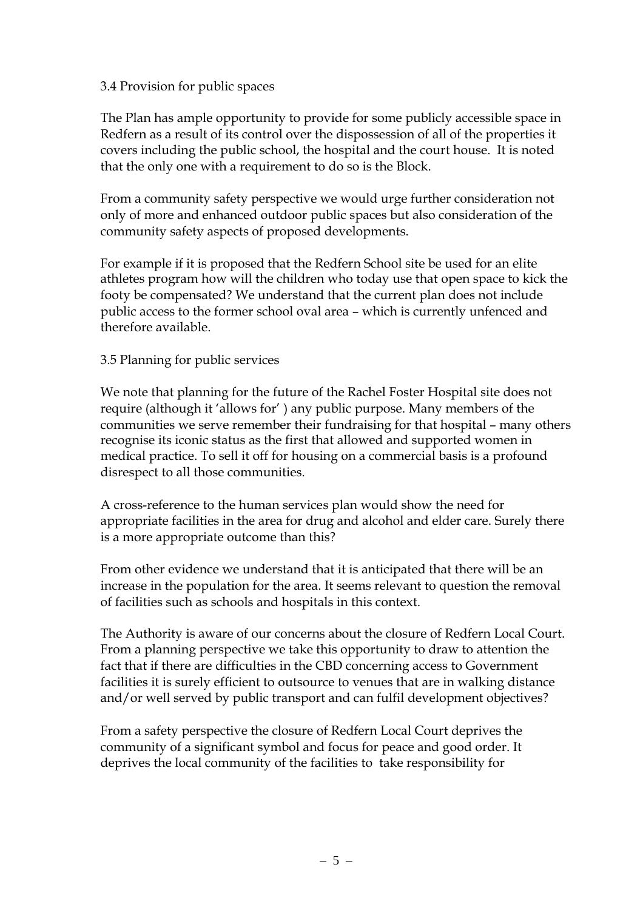### 3.4 Provision for public spaces

The Plan has ample opportunity to provide for some publicly accessible space in Redfern as a result of its control over the dispossession of all of the properties it covers including the public school, the hospital and the court house. It is noted that the only one with a requirement to do so is the Block.

From a community safety perspective we would urge further consideration not only of more and enhanced outdoor public spaces but also consideration of the community safety aspects of proposed developments.

For example if it is proposed that the Redfern School site be used for an elite athletes program how will the children who today use that open space to kick the footy be compensated? We understand that the current plan does not include public access to the former school oval area – which is currently unfenced and therefore available.

#### 3.5 Planning for public services

We note that planning for the future of the Rachel Foster Hospital site does not require (although it 'allows for' ) any public purpose. Many members of the communities we serve remember their fundraising for that hospital – many others recognise its iconic status as the first that allowed and supported women in medical practice. To sell it off for housing on a commercial basis is a profound disrespect to all those communities.

A cross-reference to the human services plan would show the need for appropriate facilities in the area for drug and alcohol and elder care. Surely there is a more appropriate outcome than this?

From other evidence we understand that it is anticipated that there will be an increase in the population for the area. It seems relevant to question the removal of facilities such as schools and hospitals in this context.

The Authority is aware of our concerns about the closure of Redfern Local Court. From a planning perspective we take this opportunity to draw to attention the fact that if there are difficulties in the CBD concerning access to Government facilities it is surely efficient to outsource to venues that are in walking distance and/or well served by public transport and can fulfil development objectives?

From a safety perspective the closure of Redfern Local Court deprives the community of a significant symbol and focus for peace and good order. It deprives the local community of the facilities to take responsibility for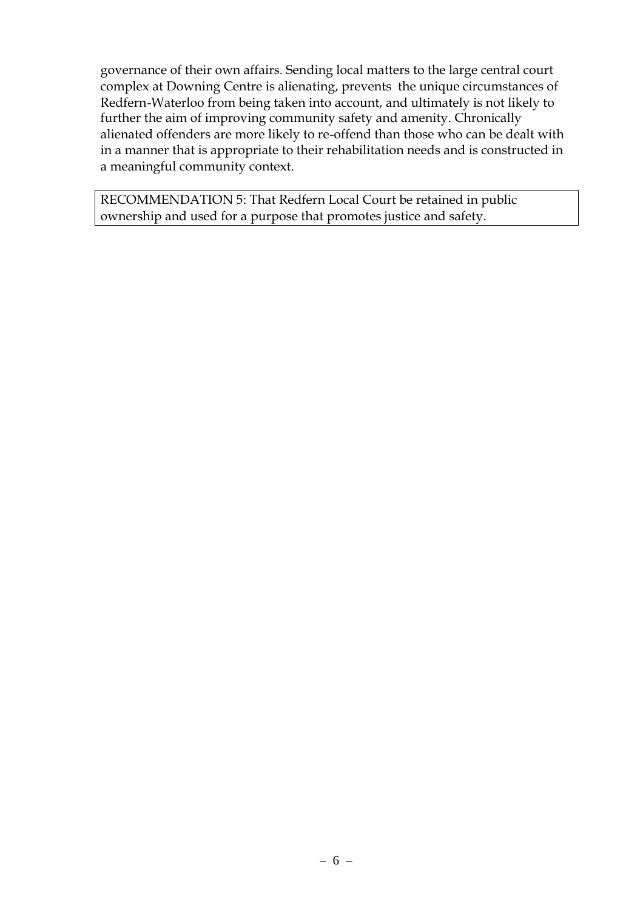governance of their own affairs. Sending local matters to the large central court complex at Downing Centre is alienating, prevents the unique circumstances of Redfern-Waterloo from being taken into account, and ultimately is not likely to further the aim of improving community safety and amenity. Chronically alienated offenders are more likely to re-offend than those who can be dealt with in a manner that is appropriate to their rehabilitation needs and is constructed in a meaningful community context.

RECOMMENDATION 5: That Redfern Local Court be retained in public ownership and used for a purpose that promotes justice and safety.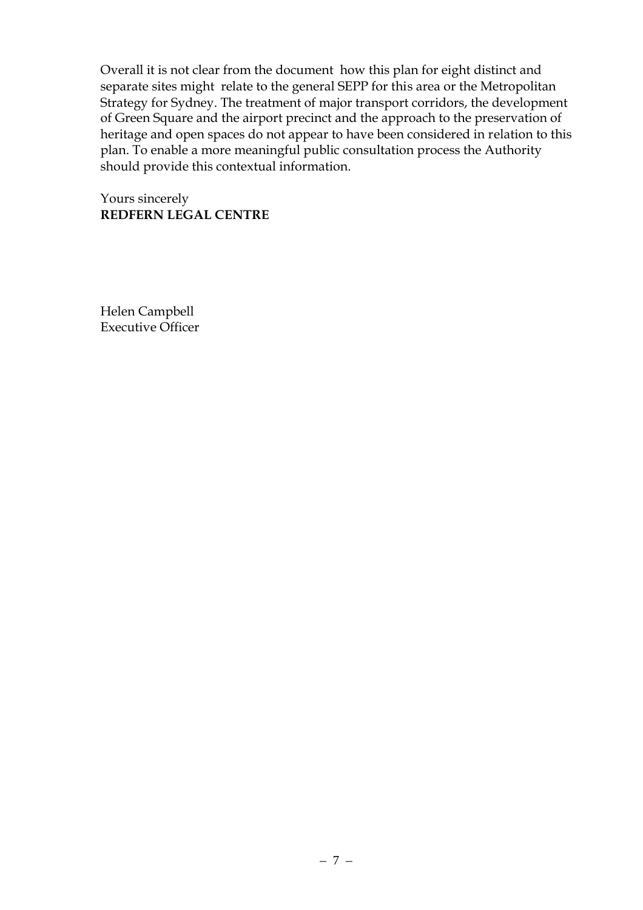Overall it is not clear from the document how this plan for eight distinct and separate sites might relate to the general SEPP for this area or the Metropolitan Strategy for Sydney. The treatment of major transport corridors, the development of Green Square and the airport precinct and the approach to the preservation of heritage and open spaces do not appear to have been considered in relation to this plan. To enable a more meaningful public consultation process the Authority should provide this contextual information.

Yours sincerely **REDFERN LEGAL CENTRE**

Helen Campbell Executive Officer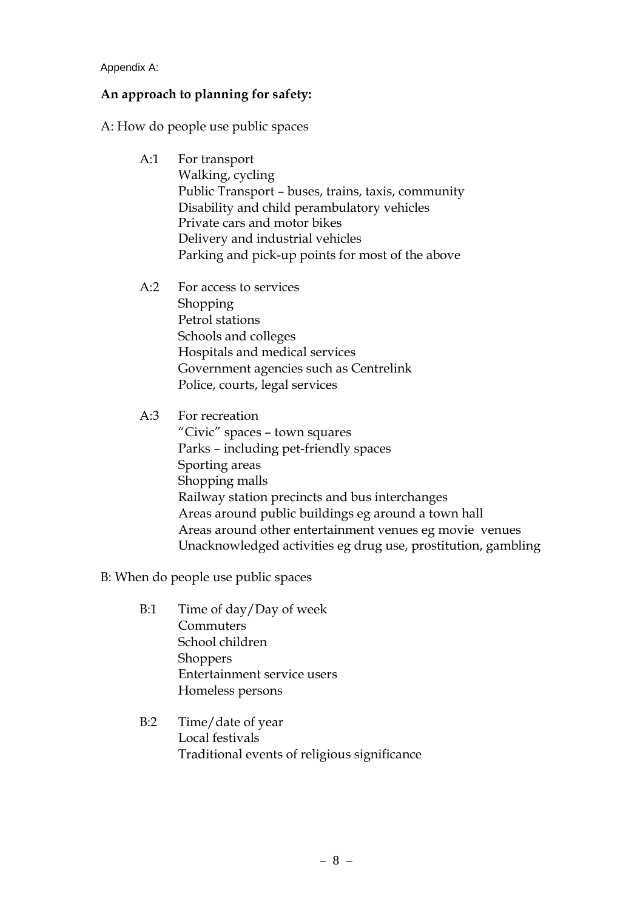Appendix A:

#### **An approach to planning for safety:**

A: How do people use public spaces

- A:1 For transport Walking, cycling Public Transport – buses, trains, taxis, community Disability and child perambulatory vehicles Private cars and motor bikes Delivery and industrial vehicles Parking and pick-up points for most of the above
- A:2 For access to services Shopping Petrol stations Schools and colleges Hospitals and medical services Government agencies such as Centrelink Police, courts, legal services

### A:3 For recreation

"Civic" spaces – town squares Parks – including pet-friendly spaces Sporting areas Shopping malls Railway station precincts and bus interchanges Areas around public buildings eg around a town hall Areas around other entertainment venues eg movie venues Unacknowledged activities eg drug use, prostitution, gambling

B: When do people use public spaces

- B:1 Time of day/Day of week **Commuters** School children **Shoppers** Entertainment service users Homeless persons
- B:2 Time/date of year Local festivals Traditional events of religious significance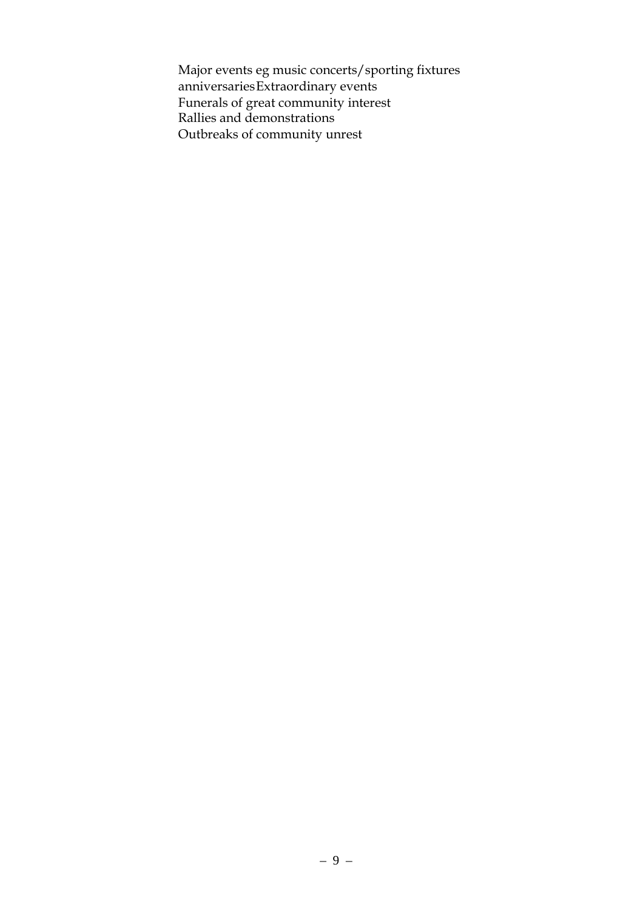Major events eg music concerts/sporting fixtures anniversariesExtraordinary events Funerals of great community interest Rallies and demonstrations Outbreaks of community unrest